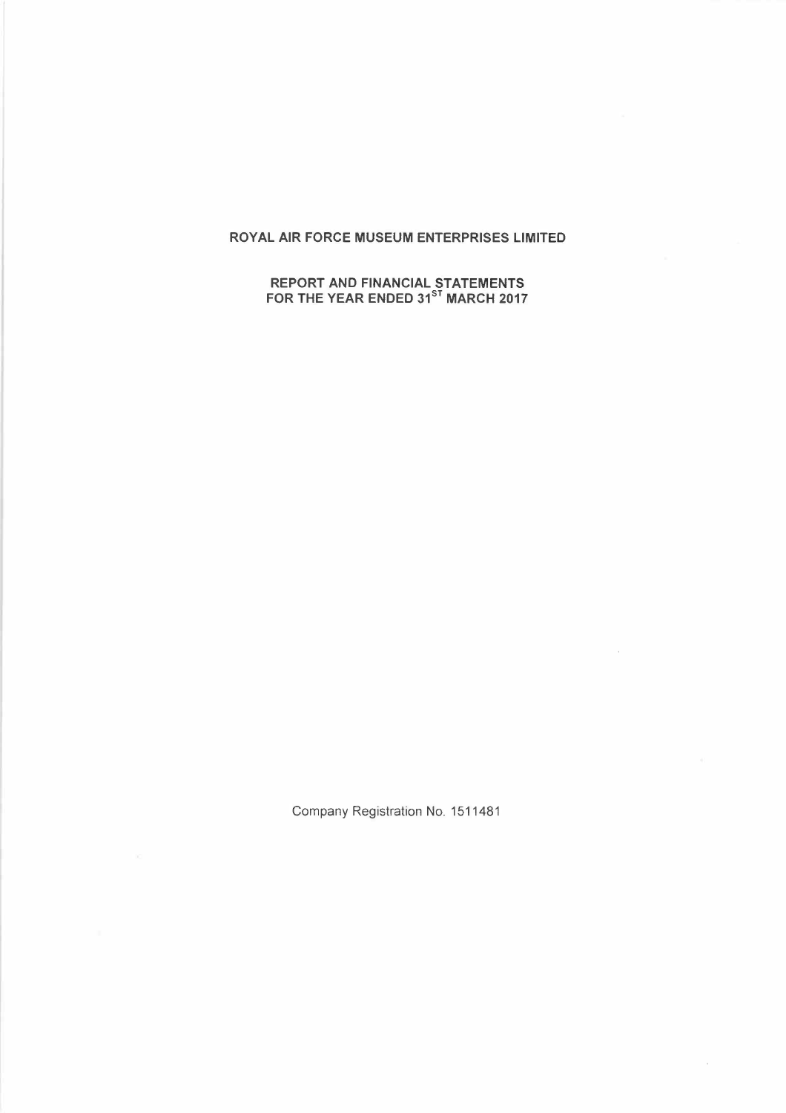REPORT AND FINANCIAL STATEMENTS FOR THE YEAR ENDED 31<sup>ST</sup> MARCH 2017

Company Registration No. 1511481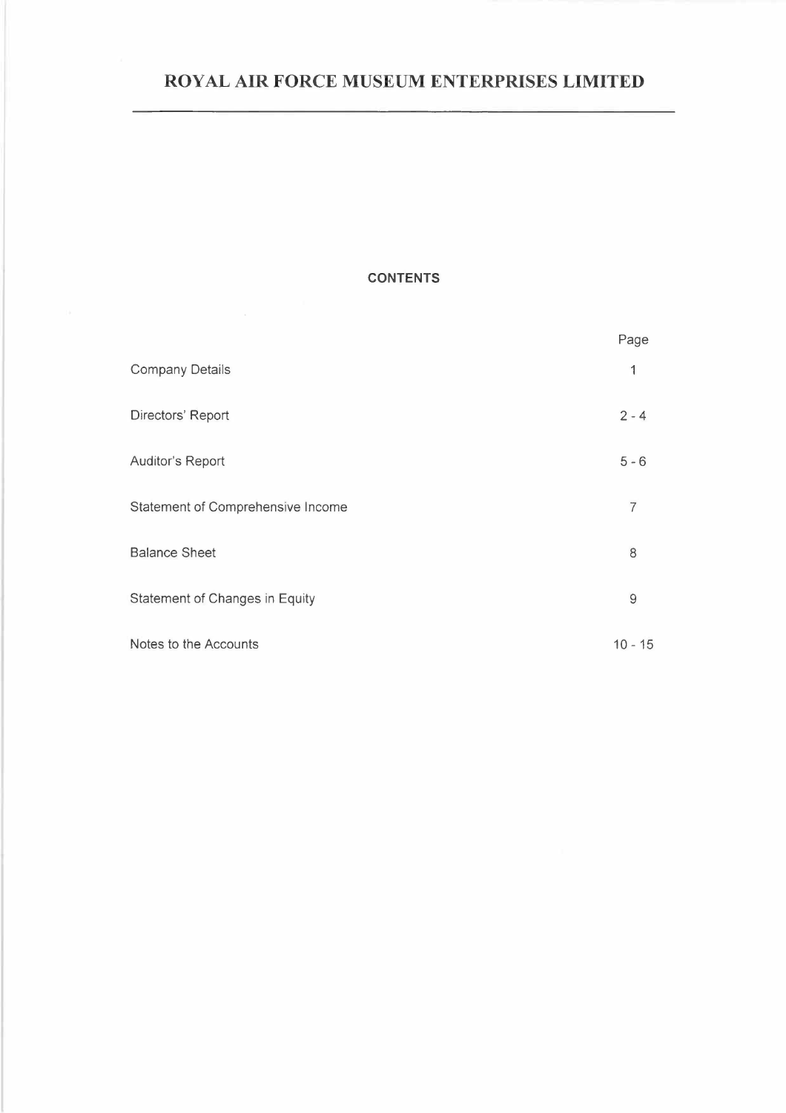# **CONTENTS**

|                                   | Page      |
|-----------------------------------|-----------|
| <b>Company Details</b>            | 1         |
| Directors' Report                 | $2 - 4$   |
| Auditor's Report                  | $5 - 6$   |
| Statement of Comprehensive Income | 7         |
| <b>Balance Sheet</b>              | 8         |
| Statement of Changes in Equity    | 9         |
| Notes to the Accounts             | $10 - 15$ |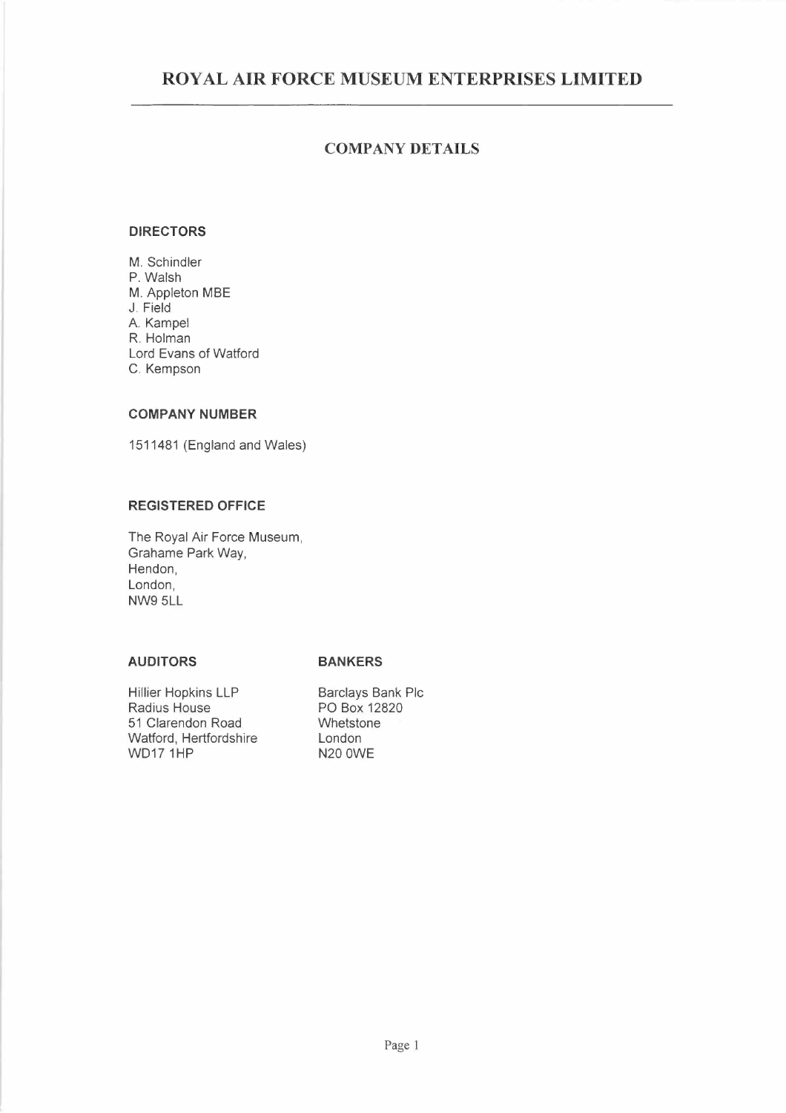# **COMPANY DETAILS**

### **DIRECTORS**

**M.** Schindler P. Walsh **M.** Appleton MBE J. Field A. Kampel R. Holman Lord Evans of Watford C. Kempson

### **COMPANY NUMBER**

1511481 (England and Wales)

### **REGISTERED OFFICE**

The Royal Air Force Museum, Grahame Park Way, Hendon, London, NW9 5LL

### **AUDITORS BANKERS**

Hillier Hopkins LLP Radius House 51 Clarendon Road Watford, Hertfordshire WD17 1HP

Barclays Bank Pic PO Box 12820 Whetstone London N20 OWE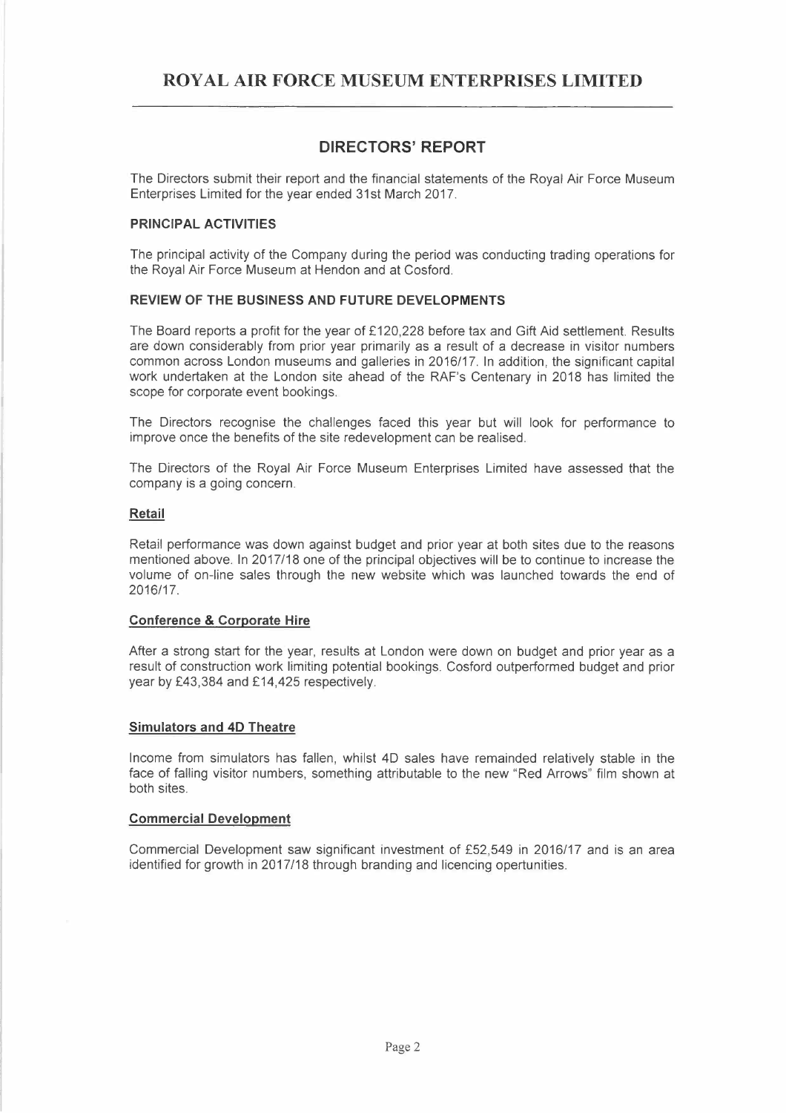## **DIRECTORS' REPORT**

The Directors submit their report and the financial statements of the Royal Air Force Museum Enterprises Limited for the year ended 31st March 2017.

### **PRINCIPAL ACTIVITIES**

The principal activity of the Company during the period was conducting trading operations for the Royal Air Force Museum at Hendon and at Cosford.

### **REVIEW OF THE BUSINESS AND FUTURE DEVELOPMENTS**

The Board reports a profit for the year of £120,228 before tax and Gift Aid settlement. Results are down considerably from prior year primarily as a result of a decrease in visitor numbers common across London museums and galleries in 2016/17. In addition, the significant capital work undertaken at the London site ahead of the RAF's Centenary in 2018 has limited the scope for corporate event bookings.

The Directors recognise the challenges faced this year but will look for performance to improve once the benefits of the site redevelopment can be realised.

The Directors of the Royal Air Force Museum Enterprises Limited have assessed that the company is a going concern.

### Retail

Retail performance was down against budget and prior year at both sites due to the reasons mentioned above. In 2017/18 one of the principal objectives will be to continue to increase the volume of on-line sales through the new website which was launched towards the end of 2016/17.

### **Conference & Corporate Hire**

After a strong start for the year, results at London were down on budget and prior year as a result of construction work limiting potential bookings. Cosford outperformed budget and prior year by £43,384 and £14,425 respectively.

### **Simulators and 4D Theatre**

Income from simulators has fallen, whilst 4D sales have remainded relatively stable in the face of falling visitor numbers, something attributable to the new "Red Arrows" film shown at both sites.

### **Commercial Development**

Commercial Development saw significant investment of £52,549 in 2016/17 and is an area identified for growth in 2017/18 through branding and licencing opertunities.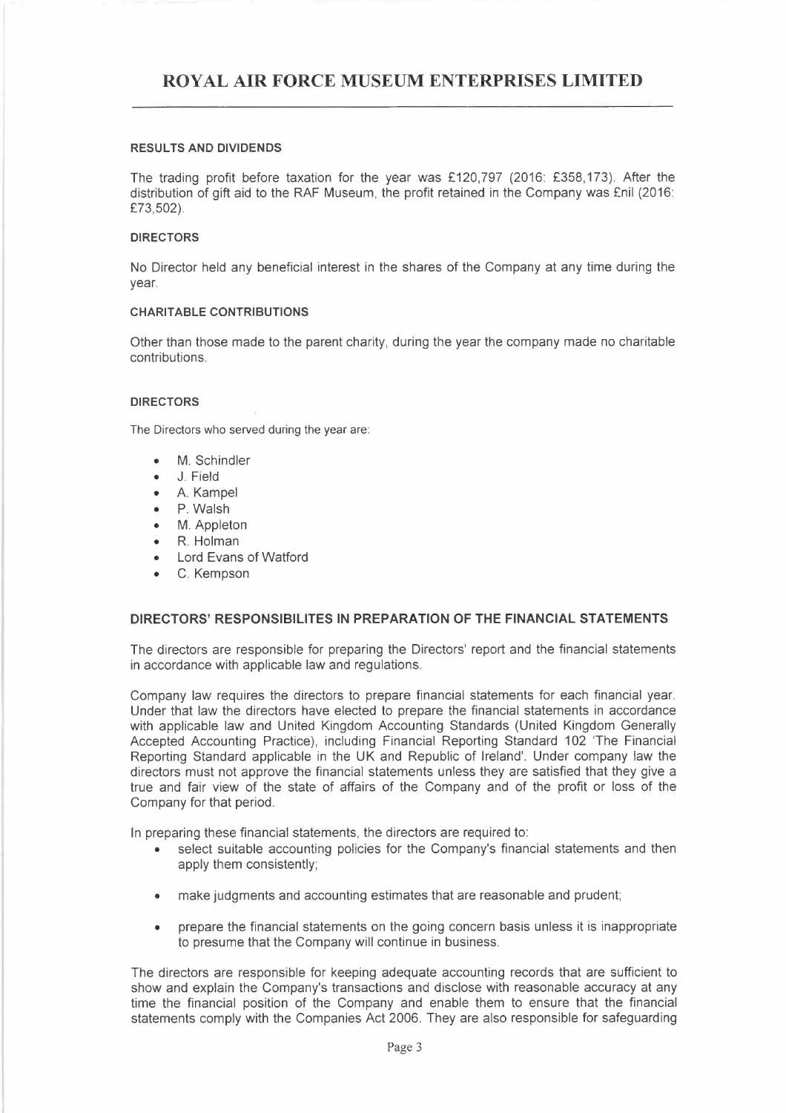### **RESULTS AND DIVIDENDS**

The trading profit before taxation for the year was £120,797 (2016: £358,173). After the distribution of gift aid to the RAF Museum, the profit retained in the Company was £nil (2016: £73,502).

### **DIRECTORS**

No Director held any beneficial interest in the shares of the Company at any time during the year.

### **CHARITABLE CONTRIBUTIONS**

Other than those made to the parent charity, during the year the company made no charitable contributions.

### **DIRECTORS**

The Directors who served during the year are:

- **M.** Schindler
- J. Field
- A. Kampel
- P. Walsh
- **M.** Appleton
- R. Holman
- **Lord Evans of Watford**
- C. Kempson

### **DIRECTORS' RESPONSIBILITES IN PREPARATION OF THE FINANCIAL STATEMENTS**

The directors are responsible for preparing the Directors' report and the financial statements in accordance with applicable law and regulations.

Company law requires the directors to prepare financial statements for each financial year. Under that law the directors have elected to prepare the financial statements in accordance with applicable law and United Kingdom Accounting Standards (United Kingdom Generally Accepted Accounting Practice), including Financial Reporting Standard 102 'The Financial Reporting Standard applicable in the UK and Republic of Ireland'. Under company law the directors must not approve the financial statements unless they are satisfied that they give a true and fair view of the state of affairs of the Company and of the profit or loss of the Company for that period.

In preparing these financial statements, the directors are required to:

- select suitable accounting policies for the Company's financial statements and then apply them consistently;
- make judgments and accounting estimates that are reasonable and prudent;
- prepare the financial statements on the going concern basis unless it is inappropriate to presume that the Company will continue in business.

The directors are responsible for keeping adequate accounting records that are sufficient to show and explain the Company's transactions and disclose with reasonable accuracy at any time the financial position of the Company and enable them to ensure that the financial statements comply with the Companies Act 2006. They are also responsible for safeguarding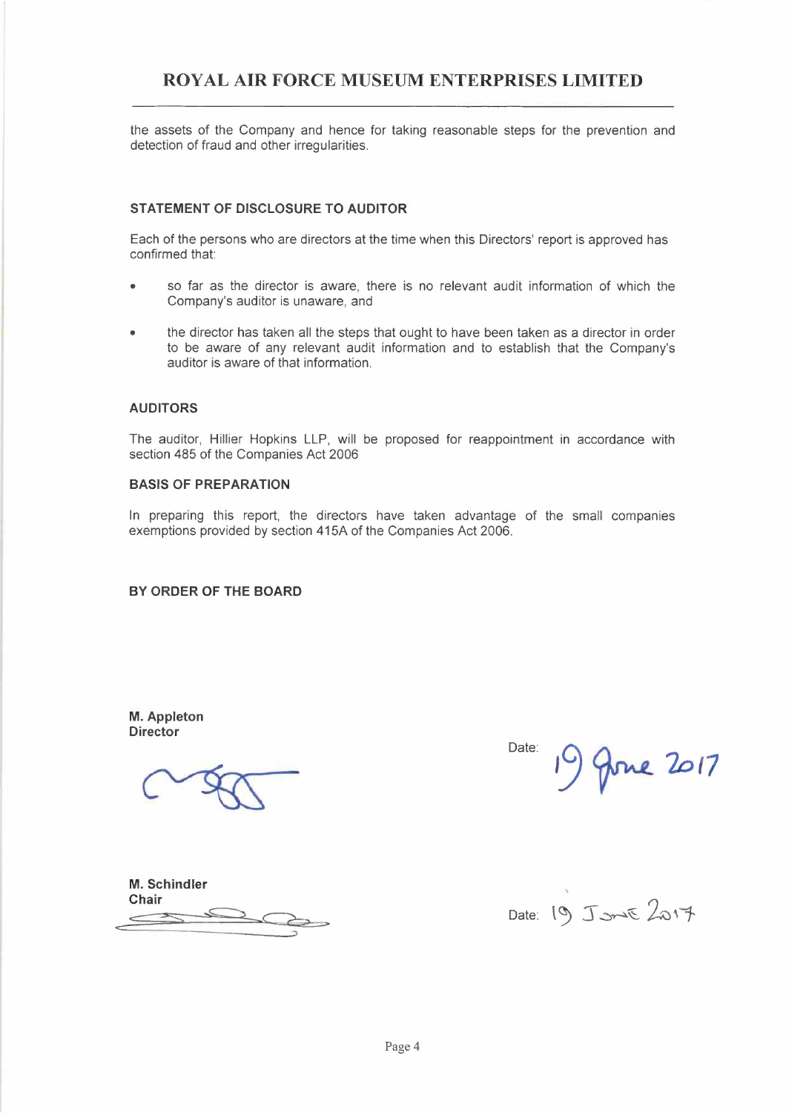the assets of the Company and hence for taking reasonable steps for the prevention and detection of fraud and other irregularities.

### **STATEMENT OF DISCLOSURE TO AUDITOR**

Each of the persons who are directors at the time when this Directors' report is approved has confirmed that:

- so far as the director is aware, there is no relevant audit information of which the Company's auditor is unaware, and
- the director has taken all the steps that ought to have been taken as a director in order to be aware of any relevant audit information and to establish that the Company's auditor is aware of that information.

### **AUDITORS**

The auditor, Hillier Hopkins LLP, will be proposed for reappointment in accordance with section 485 of the Companies Act 2006

### **BASIS OF PREPARATION**

In preparing this report, the directors have taken advantage of the small companies exemptions provided by section 415A of the Companies Act 2006.

### **BY ORDER OF THE BOARD**

**M. Appleton Director** 

**M. Schindler Chair**   $\frac{1}{2}$ 

Date:

, fone 2017

Date: 19 Jone 2017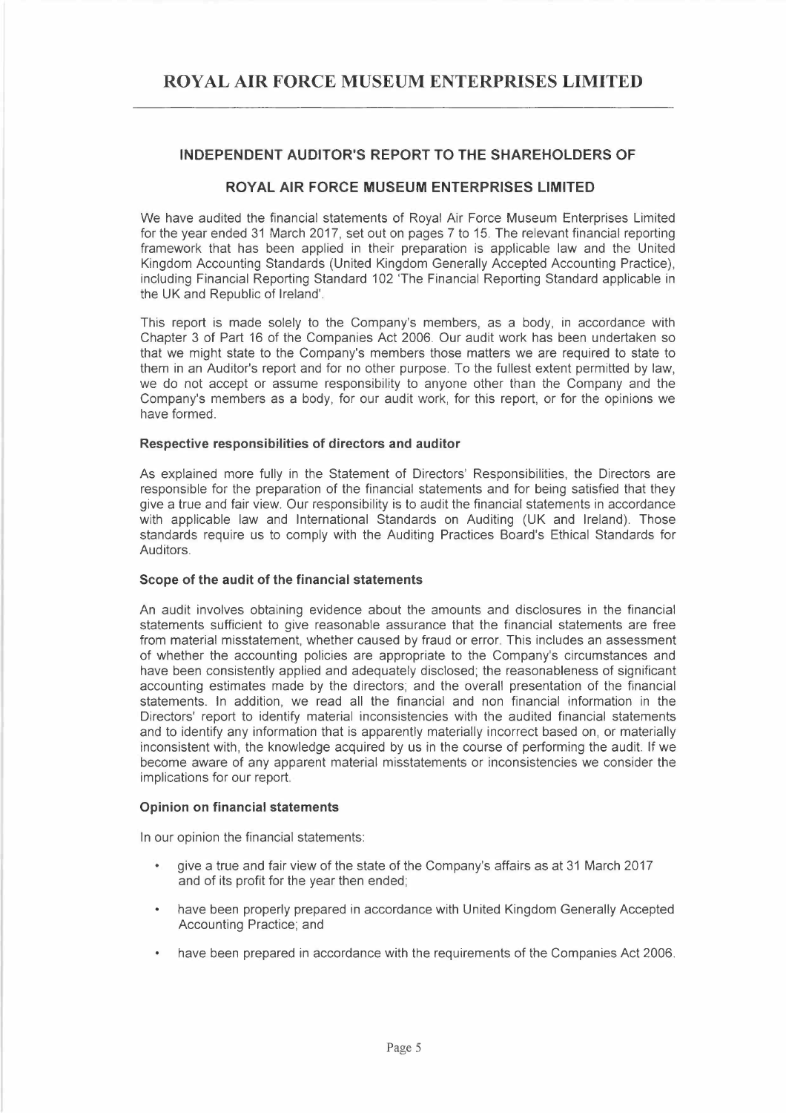### **INDEPENDENT AUDITOR'S REPORT TO THE SHAREHOLDERS OF**

### **ROYAL AIR FORCE MUSEUM ENTERPRISES LIMITED**

We have audited the financial statements of Royal Air Force Museum Enterprises Limited for the year ended 31 March 2017, set out on pages 7 to 15. The relevant financial reporting framework that has been applied in their preparation is applicable law and the United Kingdom Accounting Standards (United Kingdom Generally Accepted Accounting Practice), including Financial Reporting Standard 102 The Financial Reporting Standard applicable in the UK and Republic of Ireland'.

This report is made solely to the Company's members, as a body, in accordance with Chapter 3 of Part 16 of the Companies Act 2006. Our audit work has been undertaken so that we might state to the Company's members those matters we are required to state to them in an Auditor's report and for no other purpose. To the fullest extent permitted by law, we do not accept or assume responsibility to anyone other than the Company and the Company's members as a body, for our audit work, for this report, or for the opinions we have formed.

### **Respective responsibilities of directors and auditor**

As explained more fully in the Statement of Directors' Responsibilities, the Directors are responsible for the preparation of the financial statements and for being satisfied that they give a true and fair view. Our responsibility is to audit the financial statements in accordance with applicable law and International Standards on Auditing (UK and Ireland). Those standards require us to comply with the Auditing Practices Board's Ethical Standards for Auditors.

### **Scope of the audit of the financial statements**

An audit involves obtaining evidence about the amounts and disclosures in the financial statements sufficient to give reasonable assurance that the financial statements are free from material misstatement, whether caused by fraud or error. This includes an assessment of whether the accounting policies are appropriate to the Company's circumstances and have been consistently applied and adequately disclosed; the reasonableness of significant accounting estimates made by the directors; and the overall presentation of the financial statements. In addition, we read all the financial and non financial information in the Directors' report to identify material inconsistencies with the audited financial statements and to identify any information that is apparently materially incorrect based on, or materially inconsistent with, the knowledge acquired by us in the course of performing the audit. If we become aware of any apparent material misstatements or inconsistencies we consider the implications for our report.

### **Opinion on financial statements**

In our opinion the financial statements:

- give a true and fair view of the state of the Company's affairs as at 31 March 2017 and of its profit for the year then ended;
- have been properly prepared in accordance with United Kingdom Generally Accepted Accounting Practice; and
- have been prepared in accordance with the requirements of the Companies Act 2006.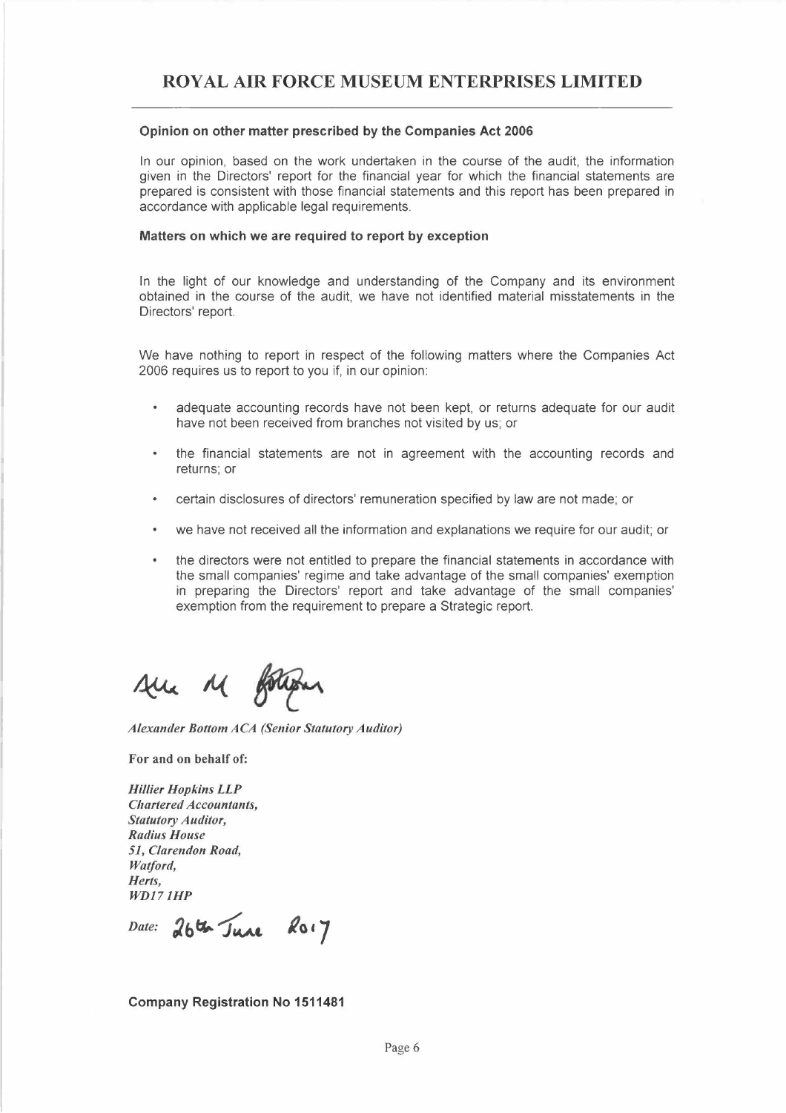### **Opinion on other matter prescribed by the Companies Act 2006**

In our opinion, based on the work undertaken in the course of the audit, the information given in the Directors' report for the financial year for which the financial statements are prepared is consistent with those financial statements and this report has been prepared in accordance with applicable legal requirements.

#### **Matters on which we are required to report by exception**

In the light of our knowledge and understanding of the Company and its environment obtained in the course of the audit, we have not identified material misstatements in the Directors' report.

We have nothing to report in respect of the following matters where the Companies Act 2006 requires us to report to you if, in our opinion:

- $\bullet$ adequate accounting records have not been kept, or returns adequate for our audit have not been received from branches not visited by us; or
- the financial statements are not in agreement with the accounting records and returns; or
- certain disclosures of directors' remuneration specified by law are not made; or  $\bullet$
- we have not received all the information and explanations we require for our audit; or
- the directors were not entitled to prepare the financial statements in accordance with the small companies' regime and take advantage of the small companies' exemption in preparing the Directors' report and take advantage of the small companies' exemption from the requirement to prepare a Strategic report.

Alla M

*Alexander Bottom ACA (Senior Statutory Auditor)* 

**For and on behalf of:** 

*Hillier Hopkins LLP Chartered Accountants, Statutory Auditor, Radius House 51, Clarendon Road, Watford, Herts, WD17 JHP* 

*Date:* **26th June 2017** 

**Company Registration No 1511481**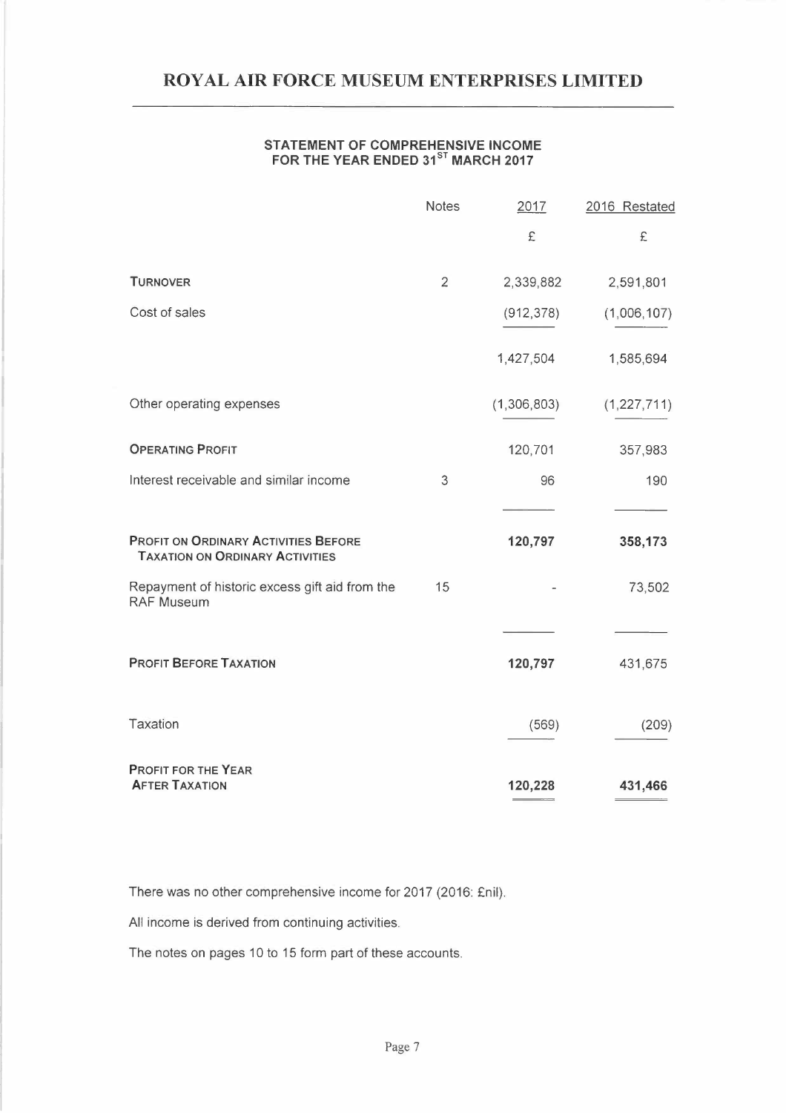### **STATEMENT OF COMPREHENSIVE INCOME FOR THE YEAR ENDED 31 5 r MARCH 2017**

|                                                                                       | <b>Notes</b>   | 2017        | 2016 Restated |
|---------------------------------------------------------------------------------------|----------------|-------------|---------------|
|                                                                                       |                | £           | £             |
| <b>TURNOVER</b>                                                                       | $\overline{2}$ | 2,339,882   | 2,591,801     |
| Cost of sales                                                                         |                | (912, 378)  | (1,006,107)   |
|                                                                                       |                | 1,427,504   | 1,585,694     |
| Other operating expenses                                                              |                | (1,306,803) | (1, 227, 711) |
| <b>OPERATING PROFIT</b>                                                               |                | 120,701     | 357,983       |
| Interest receivable and similar income                                                | 3              | 96          | 190           |
|                                                                                       |                |             |               |
| <b>PROFIT ON ORDINARY ACTIVITIES BEFORE</b><br><b>TAXATION ON ORDINARY ACTIVITIES</b> |                | 120,797     | 358,173       |
| Repayment of historic excess gift aid from the<br><b>RAF Museum</b>                   | 15             |             | 73,502        |
|                                                                                       |                |             |               |
| <b>PROFIT BEFORE TAXATION</b>                                                         |                | 120,797     | 431,675       |
| Taxation                                                                              |                | (569)       | (209)         |
| <b>PROFIT FOR THE YEAR</b><br><b>AFTER TAXATION</b>                                   |                | 120,228     | 431,466       |

There was no other comprehensive income for 2017 (2016: £nil).

All income is derived from continuing activities.

The notes on pages 10 to 15 form part of these accounts.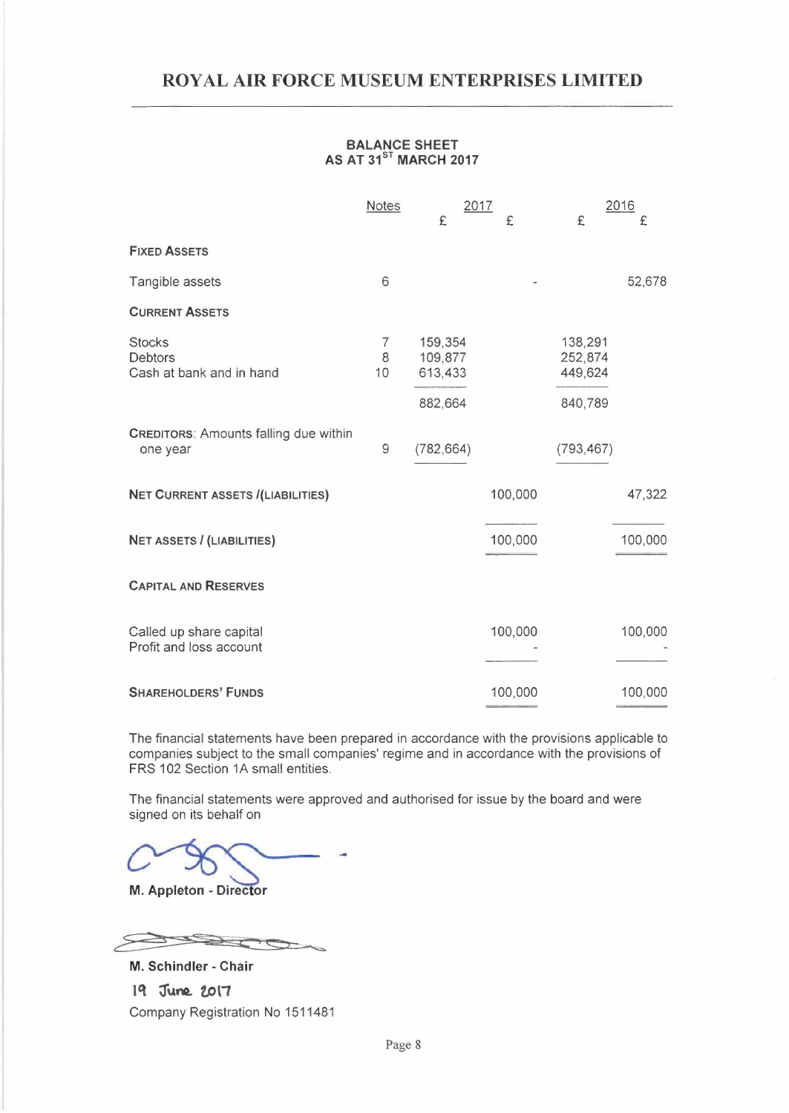### **BALANCE SHEET AS AT 31 5 r MARCH 2017**

|                                                          | <b>Notes</b>              |                               | 2017    |                               | 2016    |
|----------------------------------------------------------|---------------------------|-------------------------------|---------|-------------------------------|---------|
|                                                          |                           | £                             | £       | £                             | £       |
| <b>FIXED ASSETS</b>                                      |                           |                               |         |                               |         |
| Tangible assets                                          | 6                         |                               |         |                               | 52,678  |
| <b>CURRENT ASSETS</b>                                    |                           |                               |         |                               |         |
| <b>Stocks</b><br>Debtors<br>Cash at bank and in hand     | $\overline{7}$<br>8<br>10 | 159,354<br>109,877<br>613,433 |         | 138,291<br>252,874<br>449,624 |         |
|                                                          |                           | 882,664                       |         | 840,789                       |         |
| <b>CREDITORS: Amounts falling due within</b><br>one year | $\mathsf g$               | (782, 664)                    |         | (793, 467)                    |         |
| <b>NET CURRENT ASSETS /(LIABILITIES)</b>                 |                           |                               | 100,000 |                               | 47,322  |
| <b>NET ASSETS / (LIABILITIES)</b>                        |                           |                               | 100,000 |                               | 100,000 |
| <b>CAPITAL AND RESERVES</b>                              |                           |                               |         |                               |         |
| Called up share capital<br>Profit and loss account       |                           |                               | 100,000 |                               | 100,000 |
| <b>SHAREHOLDERS' FUNDS</b>                               |                           |                               | 100,000 |                               | 100,000 |

The financial statements have been prepared in accordance with the provisions applicable to companies subject to the small companies' regime and in accordance with the provisions of FRS 102 Section 1A small entities.

The financial statements were approved and authorised for issue by the board and were signed on its behalf on

M. Appleton - Director

Jackson

**M. Schindler - Chair**  19 **June 2017** Company Registration No 1511481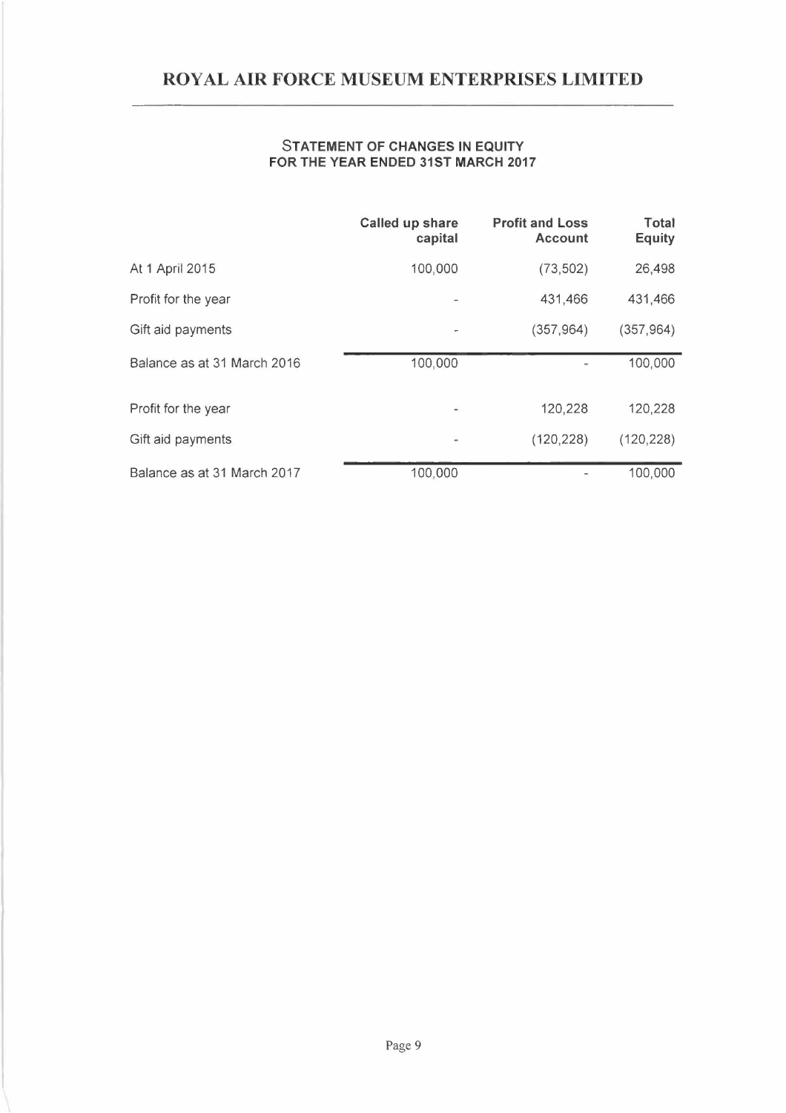### **STATEMENT OF CHANGES IN EQUITY FOR THE YEAR ENDED 31ST MARCH 2017**

|                             | Called up share<br>capital | <b>Profit and Loss</b><br><b>Account</b> | Total<br><b>Equity</b> |
|-----------------------------|----------------------------|------------------------------------------|------------------------|
| At 1 April 2015             | 100,000                    | (73, 502)                                | 26,498                 |
| Profit for the year         |                            | 431,466                                  | 431,466                |
| Gift aid payments           |                            | (357, 964)                               | (357, 964)             |
| Balance as at 31 March 2016 | 100,000                    |                                          | 100,000                |
| Profit for the year         | $\overline{a}$             | 120,228                                  | 120,228                |
| Gift aid payments           | $\blacksquare$             | (120, 228)                               | (120, 228)             |
| Balance as at 31 March 2017 | 100,000                    |                                          | 100,000                |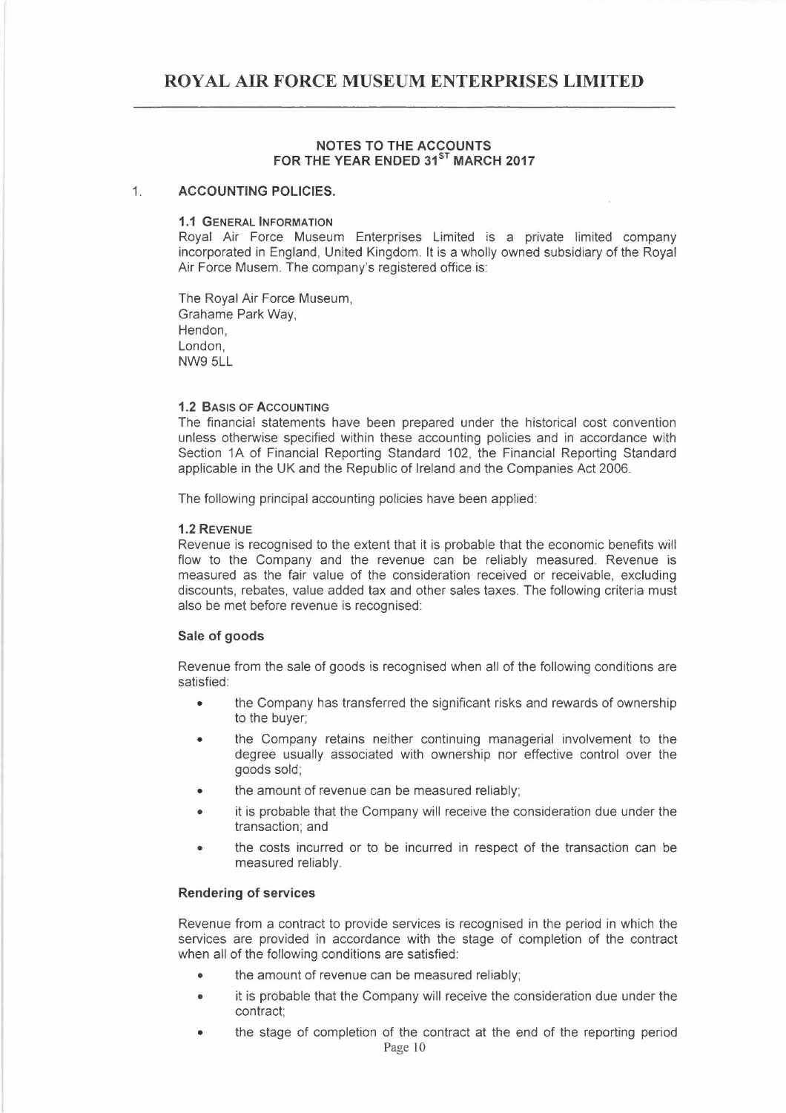### **NOTES TO THE ACCOUNTS FOR THE YEAR ENDED 31 5 r MARCH 2017**

### 1. **ACCOUNTING POLICIES.**

### **1.1 GENERAL INFORMATION**

Royal Air Force Museum Enterprises Limited is a private limited company incorporated in England, United Kingdom. It is a wholly owned subsidiary of the Royal Air Force Musem. The company's registered office is:

The Royal Air Force Museum, Grahame Park Way, Hendon, London, NW9 5LL

#### **1.2 BASIS OF ACCOUNTING**

The financial statements have been prepared under the historical cost convention unless otherwise specified within these accounting policies and in accordance with Section 1A of Financial Reporting Standard 102, the Financial Reporting Standard applicable in the UK and the Republic of Ireland and the Companies Act 2006.

The following principal accounting policies have been applied:

#### **1.2 REVENUE**

Revenue is recognised to the extent that it is probable that the economic benefits will flow to the Company and the revenue can be reliably measured. Revenue is measured as the fair value of the consideration received or receivable, excluding discounts, rebates, value added tax and other sales taxes. The following criteria must also be met before revenue is recognised:

### **Sale of goods**

Revenue from the sale of goods is recognised when all of the following conditions are satisfied:

- the Company has transferred the significant risks and rewards of ownership to the buyer;
- the Company retains neither continuing managerial involvement to the degree usually associated with ownership nor effective control over the goods sold;
- the amount of revenue can be measured reliably;
- it is probable that the Company will receive the consideration due under the transaction; and
- the costs incurred or to be incurred in respect of the transaction can be measured reliably.

### **Rendering of services**

Revenue from a contract to provide services is recognised in the period in which the services are provided in accordance with the stage of completion of the contract when all of the following conditions are satisfied:

- the amount of revenue can be measured reliably;
- it is probable that the Company will receive the consideration due under the contract;
- the stage of completion of the contract at the end of the reporting period Page 10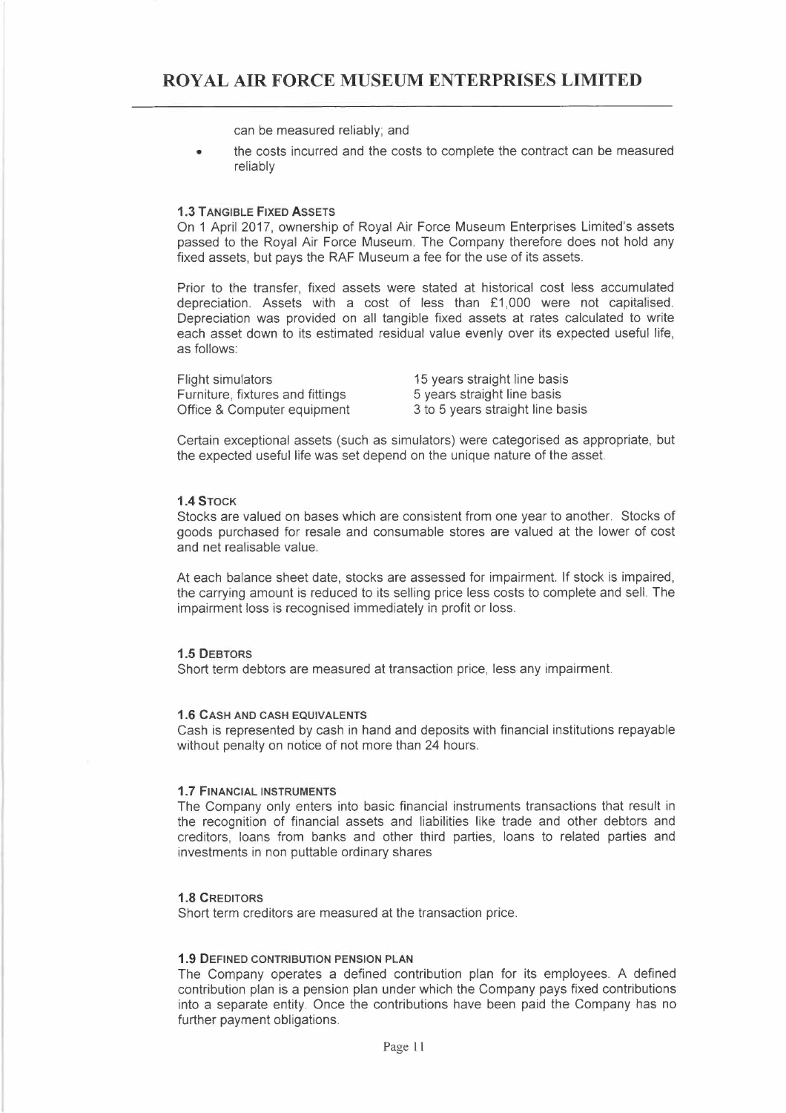can be measured reliably; and

the costs incurred and the costs to complete the contract can be measured reliably

### **1.3 TANGIBLE FIXED ASSETS**

On 1 April 2017, ownership of Royal Air Force Museum Enterprises Limited's assets passed to the Royal Air Force Museum. The Company therefore does not hold any fixed assets, but pays the RAF Museum a fee for the use of its assets.

Prior to the transfer, fixed assets were stated at historical cost less accumulated depreciation. Assets with a cost of less than £1,000 were not capitalised. Depreciation was provided on all tangible fixed assets at rates calculated to write each asset down to its estimated residual value evenly over its expected useful life, as follows:

Flight simulators Furniture, fixtures and fittings Office & Computer equipment

15 years straight line basis 5 years straight line basis 3 to 5 years straight line basis

Certain exceptional assets (such as simulators) were categorised as appropriate, but the expected useful life was set depend on the unique nature of the asset.

### **1.4 STOCK**

Stocks are valued on bases which are consistent from one year to another. Stocks of goods purchased for resale and consumable stores are valued at the lower of cost and net realisable value.

At each balance sheet date, stocks are assessed for impairment. If stock is impaired, the carrying amount is reduced to its selling price less costs to complete and sell. The impairment loss is recognised immediately in profit or loss.

### **1.5 DEBTORS**

Short term debtors are measured at transaction price, less any impairment.

### **1.6 CASH AND CASH EQUIVALENTS**

Cash is represented by cash in hand and deposits with financial institutions repayable without penalty on notice of not more than 24 hours.

### **1.7 FINANCIAL INSTRUMENTS**

The Company only enters into basic financial instruments transactions that result in the recognition of financial assets and liabilities like trade and other debtors and creditors, loans from banks and other third parties, loans to related parties and investments in non puttable ordinary shares

### **1.8 CREDITORS**

Short term creditors are measured at the transaction price.

### **1.9 DEFINED CONTRIBUTION PENSION PLAN**

The Company operates a defined contribution plan for its employees. A defined contribution plan is a pension plan under which the Company pays fixed contributions into a separate entity. Once the contributions have been paid the Company has no further payment obligations.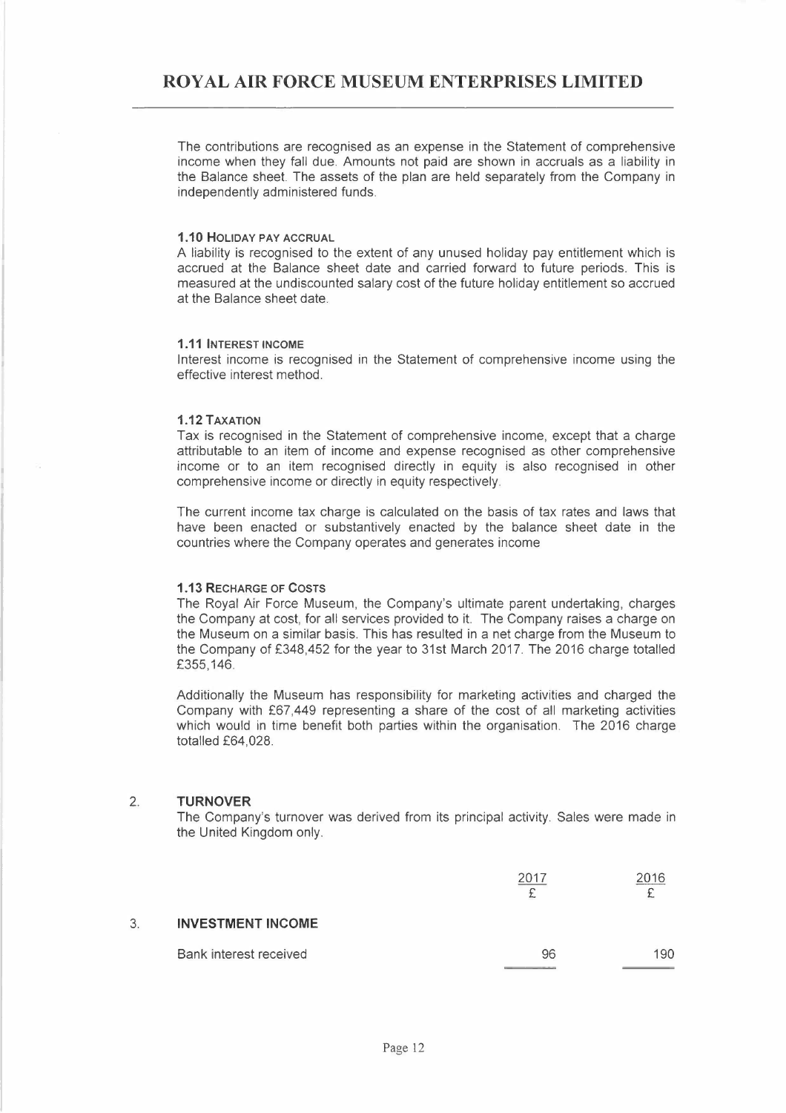The contributions are recognised as an expense in the Statement of comprehensive income when they fall due. Amounts not paid are shown in accruals as a liability in the Balance sheet. The assets of the plan are held separately from the Company in independently administered funds.

### **1.10 HOLIDAY PAY ACCRUAL**

A liability is recognised to the extent of any unused holiday pay entitlement which is accrued at the Balance sheet date and carried forward to future periods. This is measured at the undiscounted salary cost of the future holiday entitlement so accrued at the Balance sheet date.

### **1.11 INTEREST INCOME**

Interest income is recognised in the Statement of comprehensive income using the effective interest method.

### **1.12 TAXATION**

Tax is recognised in the Statement of comprehensive income, except that a charge attributable to an item of income and expense recognised as other comprehensive income or to an item recognised directly in equity is also recognised in other comprehensive income or directly in equity respectively.

The current income tax charge is calculated on the basis of tax rates and laws that have been enacted or substantively enacted by the balance sheet date in the countries where the Company operates and generates income

### **1.13 RECHARGE OF COSTS**

The Royal Air Force Museum, the Company's ultimate parent undertaking, charges the Company at cost, for all services provided to it. The Company raises a charge on the Museum on a similar basis. This has resulted in a net charge from the Museum to the Company of £348,452 for the year to 31st March 2017. The 2016 charge totalled £355,146.

Additionally the Museum has responsibility for marketing activities and charged the Company with £67,449 representing a share of the cost of all marketing activities which would in time benefit both parties within the organisation. The 2016 charge totalled £64,028.

### 2. **TURNOVER**

The Company's turnover was derived from its principal activity. Sales were made in the United Kingdom only.

|    |                          | 2017           | 2016 |
|----|--------------------------|----------------|------|
| 3. | <b>INVESTMENT INCOME</b> |                |      |
|    | Bank interest received   | 96<br>________ | 190  |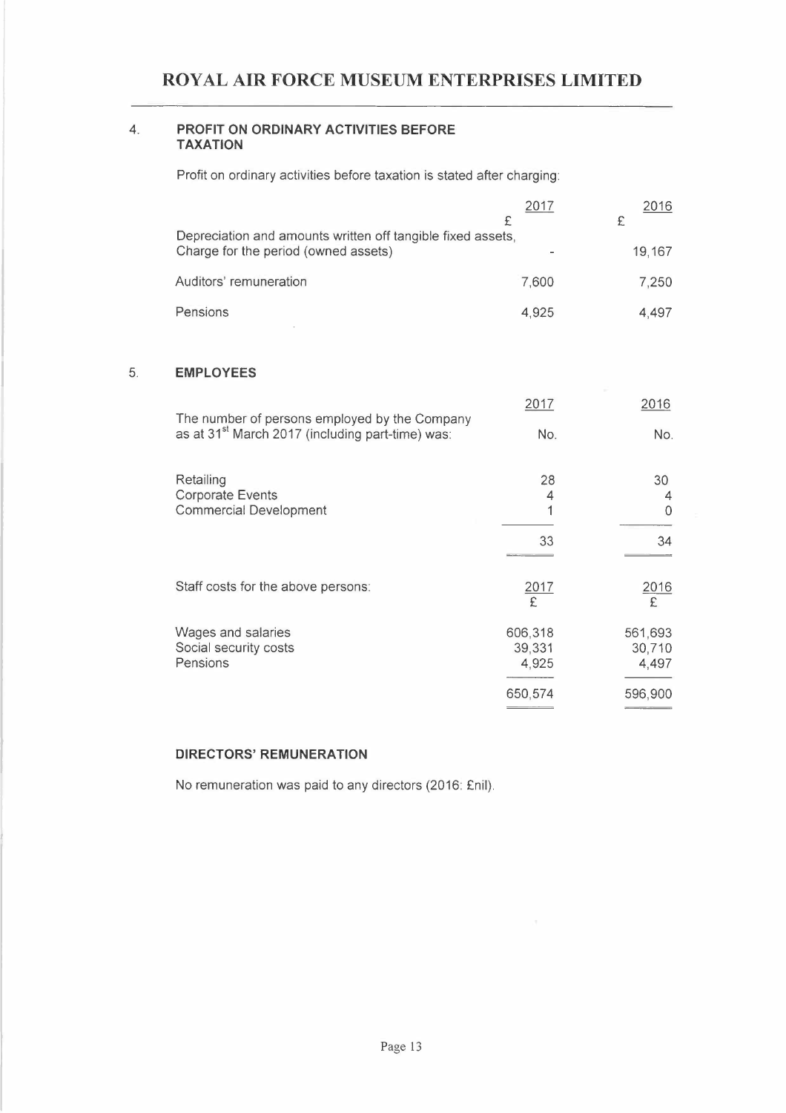### 4. **PROFIT ON ORDINARY ACTIVITIES BEFORE TAXATION**

Profit on ordinary activities before taxation is stated after charging:

|                                                                                                     | 2017  | 2016   |
|-----------------------------------------------------------------------------------------------------|-------|--------|
| Depreciation and amounts written off tangible fixed assets,<br>Charge for the period (owned assets) |       | 19,167 |
| Auditors' remuneration                                                                              | 7.600 | 7,250  |
| Pensions                                                                                            | 4,925 | 4.497  |

# 5. **EMPLOYEES**

|                                                                                                               | 2017                       | 2016                       |
|---------------------------------------------------------------------------------------------------------------|----------------------------|----------------------------|
| The number of persons employed by the Company<br>as at 31 <sup>st</sup> March 2017 (including part-time) was: | No.                        | No.                        |
| Retailing<br><b>Corporate Events</b><br><b>Commercial Development</b>                                         | 28<br>4                    | 30<br>4<br>O               |
|                                                                                                               | 33                         | 34                         |
| Staff costs for the above persons:                                                                            | <u>2017</u><br>£           | 2016<br>£                  |
| Wages and salaries<br>Social security costs<br>Pensions                                                       | 606,318<br>39,331<br>4,925 | 561,693<br>30,710<br>4,497 |
|                                                                                                               | 650,574                    | 596,900                    |

### **DIRECTORS' REMUNERATION**

No remuneration was paid to any directors (2016: £nil).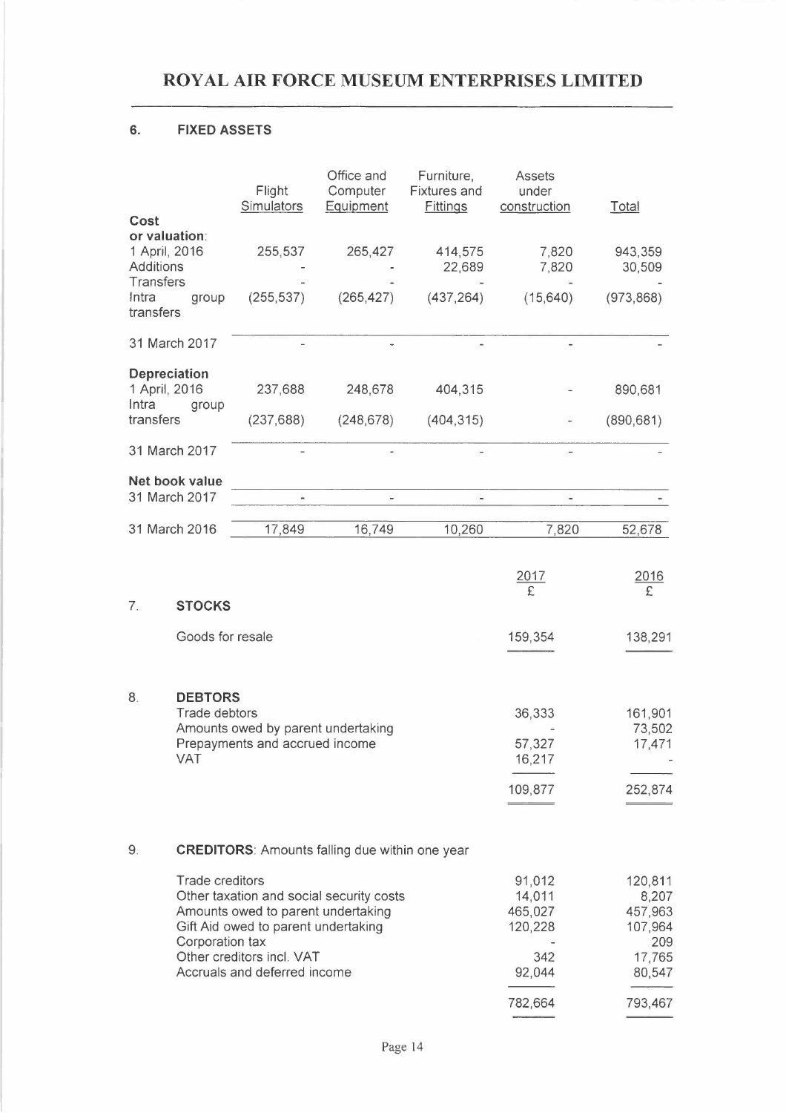# **6. FIXED ASSETS**

| Cost                                          |                                                                                                                | Flight<br>Simulators                                                                                   | Office and<br>Computer<br>Equipment                   | Furniture,<br><b>Fixtures and</b><br><b>Fittings</b> | Assets<br>under<br>construction               | <b>Total</b>                                            |
|-----------------------------------------------|----------------------------------------------------------------------------------------------------------------|--------------------------------------------------------------------------------------------------------|-------------------------------------------------------|------------------------------------------------------|-----------------------------------------------|---------------------------------------------------------|
| or valuation:<br>1 April, 2016<br>Additions   |                                                                                                                | 255,537                                                                                                | 265,427                                               | 414,575<br>22,689                                    | 7,820<br>7,820                                | 943,359<br>30,509                                       |
| <b>Transfers</b><br>Intra<br>transfers        | group                                                                                                          | (255, 537)                                                                                             | (265, 427)                                            | (437, 264)                                           | (15, 640)                                     | (973, 868)                                              |
| 31 March 2017                                 |                                                                                                                |                                                                                                        |                                                       |                                                      |                                               |                                                         |
| <b>Depreciation</b><br>1 April, 2016<br>Intra | group                                                                                                          | 237,688                                                                                                | 248,678                                               | 404,315                                              |                                               | 890,681                                                 |
| transfers                                     |                                                                                                                | (237, 688)                                                                                             | (248, 678)                                            | (404, 315)                                           |                                               | (890, 681)                                              |
| 31 March 2017                                 |                                                                                                                |                                                                                                        |                                                       |                                                      | $\overline{\phantom{0}}$                      |                                                         |
| 31 March 2017                                 | Net book value                                                                                                 | $\blacksquare$                                                                                         | ÷.                                                    | ٠                                                    | $\overline{\phantom{a}}$                      |                                                         |
| 31 March 2016                                 |                                                                                                                | 17,849                                                                                                 | 16,749                                                | 10,260                                               | 7,820                                         | 52,678                                                  |
| 7.                                            | <b>STOCKS</b>                                                                                                  |                                                                                                        |                                                       |                                                      | 2017<br>£                                     | 2016<br>£                                               |
|                                               | Goods for resale                                                                                               |                                                                                                        |                                                       |                                                      | 159,354                                       | 138,291                                                 |
| 8.                                            | <b>DEBTORS</b><br>Trade debtors<br>Amounts owed by parent undertaking<br>Prepayments and accrued income<br>VAT |                                                                                                        |                                                       | 36,333<br>57,327<br>16,217<br>109,877                | 161,901<br>73,502<br>17,471<br>252,874        |                                                         |
| 9.                                            |                                                                                                                |                                                                                                        | <b>CREDITORS:</b> Amounts falling due within one year |                                                      |                                               |                                                         |
|                                               | <b>Trade creditors</b><br>Corporation tax                                                                      | Amounts owed to parent undertaking<br>Gift Aid owed to parent undertaking<br>Other creditors incl. VAT | Other taxation and social security costs              |                                                      | 91,012<br>14,011<br>465,027<br>120,228<br>342 | 120,811<br>8,207<br>457,963<br>107,964<br>209<br>17,765 |
|                                               |                                                                                                                | Accruals and deferred income                                                                           |                                                       |                                                      | 92,044                                        | 80,547                                                  |

782,664

793,467